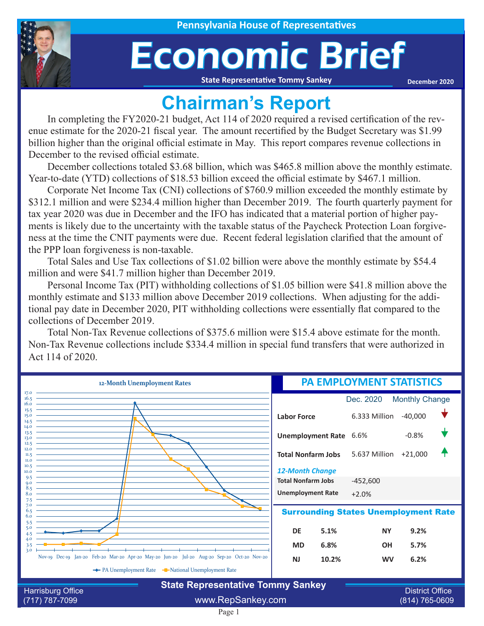

## Economic Brief

**State Representative Tommy Sankey**

**December 2020**

## **Chairman's Report**

In completing the FY2020-21 budget, Act 114 of 2020 required a revised certification of the revenue estimate for the 2020-21 fiscal year. The amount recertified by the Budget Secretary was \$1.99 billion higher than the original official estimate in May. This report compares revenue collections in December to the revised official estimate.

December collections totaled \$3.68 billion, which was \$465.8 million above the monthly estimate. Year-to-date (YTD) collections of \$18.53 billion exceed the official estimate by \$467.1 million.

Corporate Net Income Tax (CNI) collections of \$760.9 million exceeded the monthly estimate by \$312.1 million and were \$234.4 million higher than December 2019. The fourth quarterly payment for tax year 2020 was due in December and the IFO has indicated that a material portion of higher payments is likely due to the uncertainty with the taxable status of the Paycheck Protection Loan forgiveness at the time the CNIT payments were due. Recent federal legislation clarified that the amount of the PPP loan forgiveness is non-taxable.

Total Sales and Use Tax collections of \$1.02 billion were above the monthly estimate by \$54.4 million and were \$41.7 million higher than December 2019.

Personal Income Tax (PIT) withholding collections of \$1.05 billion were \$41.8 million above the monthly estimate and \$133 million above December 2019 collections. When adjusting for the additional pay date in December 2020, PIT withholding collections were essentially flat compared to the collections of December 2019.

Total Non-Tax Revenue collections of \$375.6 million were \$15.4 above estimate for the month. Non-Tax Revenue collections include \$334.4 million in special fund transfers that were authorized in Act 114 of 2020.

| 12-Month Unemployment Rates                                      |                                                                                            | <b>PA EMPLOYMENT STATISTICS</b> |                |                       |  |
|------------------------------------------------------------------|--------------------------------------------------------------------------------------------|---------------------------------|----------------|-----------------------|--|
| 17.0<br>16.5<br>16.0                                             |                                                                                            |                                 | Dec. 2020      | <b>Monthly Change</b> |  |
| 15.5<br>15.0<br>14.5                                             |                                                                                            | <b>Labor Force</b>              | 6.333 Million  | $-40,000$             |  |
| 14.0<br>13.5<br>13.0                                             |                                                                                            | Unemployment Rate 6.6%          |                | $-0.8%$               |  |
| 12.5<br>12.0<br>11.5<br>II.O                                     |                                                                                            | <b>Total Nonfarm Jobs</b>       | 5.637 Million  | $+21,000$             |  |
| 10.5<br>10.0<br>9.5                                              |                                                                                            | <b>12-Month Change</b>          |                |                       |  |
| $Q_{\rm 0}$<br>$8.5 -$                                           |                                                                                            | <b>Total Nonfarm Jobs</b>       | $-452,600$     |                       |  |
| 8.0<br>7.5                                                       |                                                                                            | <b>Unemployment Rate</b>        | $+2.0%$        |                       |  |
| 7.0<br><b>Surrounding States Unemployment Rate</b><br>6.5<br>6.0 |                                                                                            |                                 |                |                       |  |
| 5.5<br>5.0                                                       |                                                                                            | DE<br>5.1%                      | <b>NY</b>      | 9.2%                  |  |
| 4.0<br>3.5<br>3.0                                                |                                                                                            | 6.8%<br><b>MD</b>               | <b>OH</b>      | 5.7%                  |  |
|                                                                  | Nov-19 Dec-19 Jan-20 Feb-20 Mar-20 Apr-20 May-20 Jun-20 Jul-20 Aug-20 Sep-20 Oct-20 Nov-20 | 10.2%<br><b>NJ</b>              | <b>WV</b>      | 6.2%                  |  |
|                                                                  | The PA Unemployment Rate The National Unemployment Rate                                    |                                 |                |                       |  |
| <b>Harrisburg Office</b>                                         | <b>State Representative Tommy Sankey</b>                                                   | <b>District Office</b>          |                |                       |  |
| (717) 787-7099                                                   | www.RepSankey.com                                                                          |                                 | (814) 765-0609 |                       |  |

Page 1